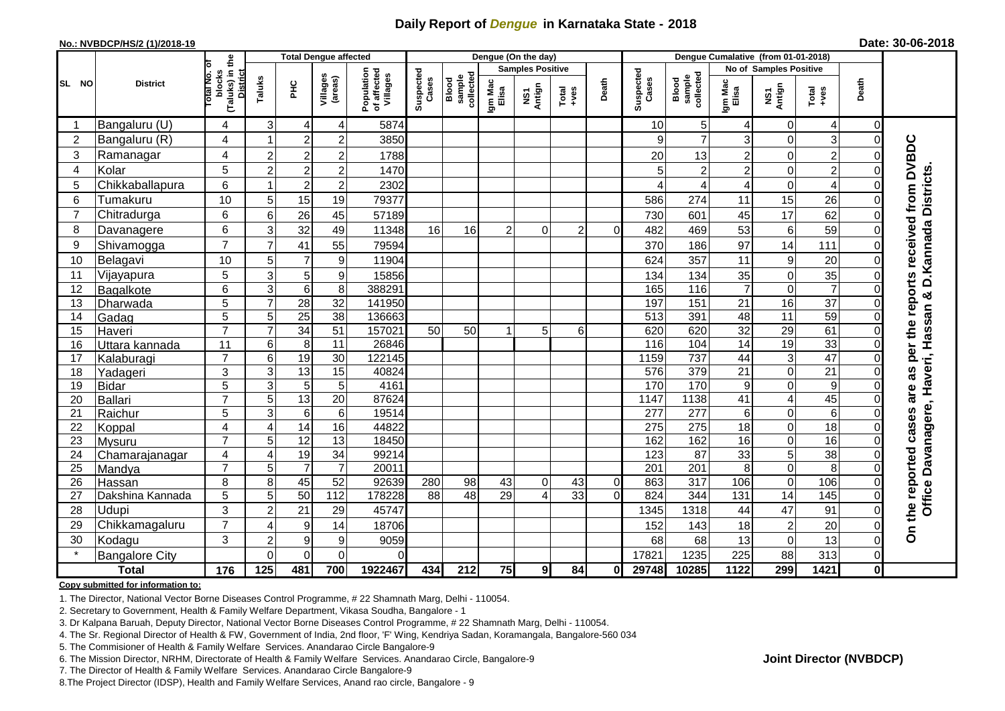## **Daily Report of** *Dengue* **in Karnataka State - 2018**

#### **No.: NVBDCP/HS/2 (1)/2018-19**

|  | Date: 30-06-2018 |  |  |
|--|------------------|--|--|
|--|------------------|--|--|

|                 | <b>District</b>            |                                                       |                       |                      | <b>Total Dengue affected</b>      |                                       |                    |                              | Dengue (On the day) |                         |                  |                            | Dengue Cumalative (from 01-01-2018) |                              |                  |                        |                      |                |                                                  |
|-----------------|----------------------------|-------------------------------------------------------|-----------------------|----------------------|-----------------------------------|---------------------------------------|--------------------|------------------------------|---------------------|-------------------------|------------------|----------------------------|-------------------------------------|------------------------------|------------------|------------------------|----------------------|----------------|--------------------------------------------------|
|                 |                            |                                                       |                       |                      |                                   |                                       |                    |                              |                     | <b>Samples Positive</b> |                  |                            |                                     |                              |                  | No of Samples Positive |                      |                |                                                  |
| SL<br><b>NO</b> |                            | (Taluks) in the<br>District<br>lotal No. of<br>blocks | Taluks                | ΞÉ                   | Villages<br>(areas)               | Population<br>of affected<br>Villages | Suspected<br>Cases | sample<br>collected<br>Blood | Igm Mac<br>Elisa    | NS1<br>Antign           | $Tota$<br>$+ves$ | Death                      | Suspected<br>Cases                  | collected<br>sample<br>Blood | Igm Mac<br>Elisa | NS1<br>Antign          | $Total$              | Death          |                                                  |
|                 | Bangaluru (U)              | 4                                                     | 3                     | 4                    | 4                                 | 5874                                  |                    |                              |                     |                         |                  |                            | 10                                  | 5                            | 4                | $\mathbf 0$            | $\overline{4}$       | $\overline{0}$ |                                                  |
| $\overline{2}$  | Bangaluru (R)              | 4                                                     |                       | $\overline{2}$       | $\overline{2}$                    | 3850                                  |                    |                              |                     |                         |                  |                            |                                     | $\overline{7}$               | 3                | $\Omega$               | 3                    | $\Omega$       |                                                  |
| 3               | Ramanagar                  | 4                                                     | $\overline{c}$        | $\sqrt{2}$           | $\overline{c}$                    | 1788                                  |                    |                              |                     |                         |                  |                            | 20                                  | 13                           | $\overline{2}$   | 0                      | $\overline{2}$       |                | per the reports received from DVBDC              |
| 4               | Kolar                      | 5                                                     | $\overline{c}$        | $\overline{c}$       | $\overline{c}$                    | 1470                                  |                    |                              |                     |                         |                  |                            |                                     | $\overline{c}$               | $\overline{2}$   | $\mathbf 0$            | $\overline{2}$       | $\Omega$       |                                                  |
| 5               | Chikkaballapura            | 6                                                     |                       | $\overline{2}$       | $\overline{c}$                    | 2302                                  |                    |                              |                     |                         |                  |                            |                                     | 4                            | 4                | $\mathbf 0$            | $\overline{4}$       | 0              |                                                  |
| 6               | Tumakuru                   | 10                                                    | 5                     | 15                   | 19                                | 79377                                 |                    |                              |                     |                         |                  |                            | 586                                 | 274                          | 11               | 15                     | 26                   | $\Omega$       |                                                  |
| $\overline{7}$  | Chitradurga                | 6                                                     | 6                     | 26                   | 45                                | 57189                                 |                    |                              |                     |                         |                  |                            | 730                                 | 601                          | 45               | 17                     | 62                   | 0              |                                                  |
| 8               | Davanagere                 | 6                                                     | 3                     | 32                   | 49                                | 11348                                 | 16                 | 16                           | $\overline{2}$      | 0                       | $\overline{2}$   | $\Omega$                   | 482                                 | 469                          | 53               | $\,6$                  | 59                   | 0              |                                                  |
| 9               | Shivamogga                 | $\overline{7}$                                        | 7                     | 41                   | 55                                | 79594                                 |                    |                              |                     |                         |                  |                            | 370                                 | 186                          | 97               | 14                     | 111                  | 0              | Davanagere, Haveri, Hassan & D.Kannada Districts |
| 10              | Belagavi                   | 10                                                    | 5                     | $\overline{7}$       | $\boldsymbol{9}$                  | 11904                                 |                    |                              |                     |                         |                  |                            | 624                                 | 357                          | 11               | $\boldsymbol{9}$       | 20                   | 0              |                                                  |
| 11              | Vijayapura                 | 5                                                     | 3                     | 5                    | 9                                 | 15856                                 |                    |                              |                     |                         |                  |                            | 134                                 | 134                          | 35               | $\mathbf 0$            | 35                   |                |                                                  |
| 12              | Bagalkote                  | 6                                                     | 3                     | $6\phantom{1}6$      | 8                                 | 388291                                |                    |                              |                     |                         |                  |                            | 165                                 | 116                          | $\overline{7}$   | $\mathbf 0$            | $\overline{7}$       | 0              |                                                  |
| 13              | Dharwada                   | 5                                                     | $\overline{7}$        | $\overline{28}$      | $\overline{32}$                   | 141950                                |                    |                              |                     |                         |                  |                            | 197                                 | 151                          | 21               | 16                     | $\overline{37}$      | 0              |                                                  |
| 14              | Gadag                      | 5                                                     | 5                     | 25                   | 38                                | 136663                                |                    |                              |                     |                         |                  |                            | 513                                 | 391                          | 48               | 11                     | 59                   | 0              |                                                  |
| 15              | Haveri                     | $\overline{7}$                                        | $\overline{7}$        | $\overline{34}$      | 51                                | 157021                                | 50                 | 50                           | 1                   | 5                       | 6                |                            | 620                                 | 620                          | $\overline{32}$  | $\overline{29}$        | 61                   | 0              |                                                  |
| 16              | Uttara kannada             | 11                                                    | 6                     | 8                    | 11                                | 26846                                 |                    |                              |                     |                         |                  |                            | 116                                 | 104                          | 14               | 19                     | 33                   | 0              |                                                  |
| 17              | Kalaburagi                 | $\overline{7}$                                        | 6                     | 19                   | $\overline{30}$                   | 122145                                |                    |                              |                     |                         |                  |                            | 1159                                | 737                          | 44               | 3                      | 47                   | 0              |                                                  |
| 18              | Yadageri                   | 3                                                     | 3                     | 13                   | 15                                | 40824                                 |                    |                              |                     |                         |                  |                            | 576                                 | 379                          | 21               | $\mathbf 0$            | $\overline{21}$      |                | as                                               |
| 19              | <b>Bidar</b>               | $\overline{5}$                                        | 3                     | $\overline{5}$       | $\overline{5}$                    | 4161                                  |                    |                              |                     |                         |                  |                            | 170                                 | 170                          | 9                | $\mathbf 0$            | $\overline{9}$       |                | are                                              |
| 20              | Ballari                    | $\overline{7}$                                        | 5                     | 13                   | $\overline{20}$                   | 87624                                 |                    |                              |                     |                         |                  |                            | 1147                                | 1138                         | 41               | 4                      | 45                   |                |                                                  |
| 21              | Raichur                    | $\overline{5}$                                        | 3                     | $6\phantom{1}6$      | $\overline{6}$                    | 19514                                 |                    |                              |                     |                         |                  |                            | 277                                 | 277                          | 6                | $\mathbf 0$            | 6                    | 0              |                                                  |
| 22              | Koppal                     | 4                                                     | $\overline{4}$        | 14                   | 16                                | 44822                                 |                    |                              |                     |                         |                  |                            | 275                                 | 275                          | 18               | $\pmb{0}$              | $\overline{18}$      | 0              |                                                  |
| 23              | Mysuru                     | $\overline{7}$                                        | 5                     | $\overline{12}$      | $\overline{13}$                   | 18450                                 |                    |                              |                     |                         |                  |                            | 162                                 | 162                          | 16               | 0                      | 16                   | 0              |                                                  |
| 24              | Chamarajanagar             | 4<br>$\overline{7}$                                   | $\overline{4}$        | 19<br>$\overline{7}$ | $\overline{34}$<br>$\overline{7}$ | 99214<br>20011                        |                    |                              |                     |                         |                  |                            | 123<br>201                          | 87<br>$\overline{201}$       | 33               | 5<br>$\boldsymbol{0}$  | 38<br>$\overline{8}$ | 0              |                                                  |
| 25<br>26        | Mandya                     | 8                                                     | 5<br>8                | 45                   | 52                                | 92639                                 | 280                | 98                           | 43                  | $\overline{0}$          | 43               |                            | 863                                 | 317                          | 8<br>106         | $\mathbf 0$            | 106                  | $\Omega$<br>0  |                                                  |
| 27              | Hassan<br>Dakshina Kannada | 5                                                     | 5                     | 50                   | $\frac{11}{2}$                    | 178228                                | 88                 | $\overline{48}$              | 29                  | $\overline{\mathbf{A}}$ | 33               | $\overline{0}$<br>$\Omega$ | 824                                 | 344                          | 131              | $\overline{14}$        | 145                  | 0              |                                                  |
| 28              | Udupi                      | 3                                                     | $\overline{2}$        | 21                   | 29                                | 45747                                 |                    |                              |                     |                         |                  |                            | 1345                                | 1318                         | 44               | 47                     | 91                   | $\Omega$       | the reported cases<br><b>Office</b>              |
| 29              | Chikkamagaluru             | $\overline{7}$                                        | $\boldsymbol{\Delta}$ | $\boldsymbol{9}$     | 14                                | 18706                                 |                    |                              |                     |                         |                  |                            | 152                                 | 143                          | 18               | $\overline{c}$         | 20                   | 0              |                                                  |
| 30              | Kodagu                     | 3                                                     | $\overline{2}$        | 9                    | 9                                 | 9059                                  |                    |                              |                     |                         |                  |                            | 68                                  | 68                           | 13               | $\mathbf 0$            | 13                   | $\Omega$       | $\overline{\delta}$                              |
|                 | <b>Bangalore City</b>      |                                                       | $\Omega$              | $\Omega$             | $\Omega$                          | 0                                     |                    |                              |                     |                         |                  |                            | 17821                               | 1235                         | 225              | 88                     | 313                  | $\overline{0}$ |                                                  |
|                 | <b>Total</b>               | 176                                                   | 125                   | 481                  | 700                               | 1922467                               | 434                | 212                          | 75                  | 9                       | 84               | $\mathbf{0}$               | 29748                               | 10285                        | 1122             | 299                    | 1421                 | $\mathbf{0}$   |                                                  |
|                 |                            |                                                       |                       |                      |                                   |                                       |                    |                              |                     |                         |                  |                            |                                     |                              |                  |                        |                      |                |                                                  |

#### **Copy submitted for information to:**

1. The Director, National Vector Borne Diseases Control Programme, # 22 Shamnath Marg, Delhi - 110054.

2. Secretary to Government, Health & Family Welfare Department, Vikasa Soudha, Bangalore - 1

3. Dr Kalpana Baruah, Deputy Director, National Vector Borne Diseases Control Programme, # 22 Shamnath Marg, Delhi - 110054.

4. The Sr. Regional Director of Health & FW, Government of India, 2nd floor, 'F' Wing, Kendriya Sadan, Koramangala, Bangalore-560 034

5. The Commisioner of Health & Family Welfare Services. Anandarao Circle Bangalore-9

6. The Mission Director, NRHM, Directorate of Health & Family Welfare Services. Anandarao Circle, Bangalore-9

7. The Director of Health & Family Welfare Services. Anandarao Circle Bangalore-9

8.The Project Director (IDSP), Health and Family Welfare Services, Anand rao circle, Bangalore - 9